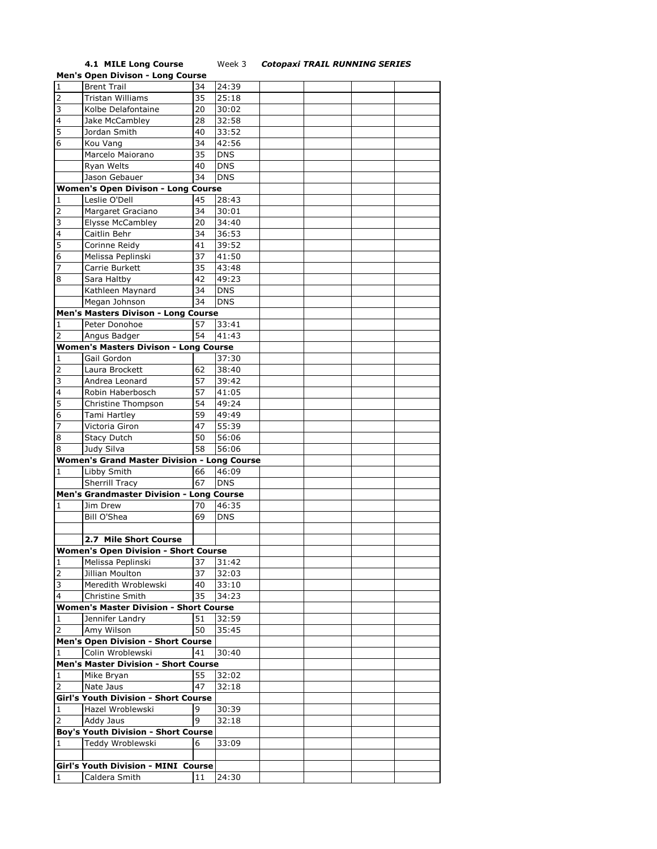## **4.1 MILE Long Course** Week 3 *Cotopaxi TRAIL RUNNING SERIES*

|                 | <b>Men's Open Divison - Long Course</b>                     |    |            |  |  |
|-----------------|-------------------------------------------------------------|----|------------|--|--|
| $\overline{1}$  | <b>Brent Trail</b>                                          | 34 | 24:39      |  |  |
| $\overline{2}$  | Tristan Williams                                            | 35 | 25:18      |  |  |
| 3               | Kolbe Delafontaine                                          | 20 | 30:02      |  |  |
| $\overline{a}$  | Jake McCambley                                              | 28 | 32:58      |  |  |
| 5               | Jordan Smith                                                | 40 | 33:52      |  |  |
| $6\overline{6}$ |                                                             | 34 | 42:56      |  |  |
|                 | Kou Vang                                                    |    |            |  |  |
|                 | Marcelo Maiorano                                            | 35 | <b>DNS</b> |  |  |
|                 | Ryan Welts                                                  | 40 | <b>DNS</b> |  |  |
|                 | Jason Gebauer                                               | 34 | <b>DNS</b> |  |  |
|                 | <b>Women's Open Divison - Long Course</b>                   |    |            |  |  |
| 1               | Leslie O'Dell                                               | 45 | 28:43      |  |  |
| $\overline{2}$  | Margaret Graciano                                           | 34 | 30:01      |  |  |
| 3               | <b>Elysse McCambley</b>                                     | 20 | 34:40      |  |  |
| $\overline{4}$  | Caitlin Behr                                                | 34 | 36:53      |  |  |
| 5               | Corinne Reidy                                               | 41 | 39:52      |  |  |
| 6               | Melissa Peplinski                                           | 37 | 41:50      |  |  |
| $\overline{7}$  | Carrie Burkett                                              | 35 | 43:48      |  |  |
| $\overline{8}$  | Sara Haltby                                                 | 42 | 49:23      |  |  |
|                 | Kathleen Maynard                                            | 34 | <b>DNS</b> |  |  |
|                 | Megan Johnson                                               | 34 | <b>DNS</b> |  |  |
|                 | Men's Masters Divison - Long Course                         |    |            |  |  |
| 1               | Peter Donohoe                                               | 57 | 33:41      |  |  |
| 2               | Angus Badger                                                | 54 | 41:43      |  |  |
|                 |                                                             |    |            |  |  |
|                 | <b>Women's Masters Divison - Long Course</b><br>Gail Gordon |    |            |  |  |
| $\mathbf{1}$    |                                                             |    | 37:30      |  |  |
| $\overline{2}$  | Laura Brockett                                              | 62 | 38:40      |  |  |
| 3               | Andrea Leonard                                              | 57 | 39:42      |  |  |
| $\overline{a}$  | Robin Haberbosch                                            | 57 | 41:05      |  |  |
| 5               | Christine Thompson                                          | 54 | 49:24      |  |  |
| $\overline{6}$  | Tami Hartley                                                | 59 | 49:49      |  |  |
| 7               | Victoria Giron                                              | 47 | 55:39      |  |  |
| 8               | <b>Stacy Dutch</b>                                          | 50 | 56:06      |  |  |
| 8               | Judy Silva                                                  | 58 | 56:06      |  |  |
|                 | <b>Women's Grand Master Division - Long Course</b>          |    |            |  |  |
| 1               | Libby Smith                                                 | 66 | 46:09      |  |  |
|                 | Sherrill Tracy                                              | 67 | <b>DNS</b> |  |  |
|                 | Men's Grandmaster Division - Long Course                    |    |            |  |  |
| 1               | Jim Drew                                                    | 70 | 46:35      |  |  |
|                 | Bill O'Shea                                                 | 69 | <b>DNS</b> |  |  |
|                 |                                                             |    |            |  |  |
|                 | 2.7 Mile Short Course                                       |    |            |  |  |
|                 | <b>Women's Open Division - Short Course</b>                 |    |            |  |  |
| $\mathbf{1}$    |                                                             | 37 | 31:42      |  |  |
| 2               | Melissa Peplinski<br>Jillian Moulton                        | 37 | 32:03      |  |  |
| 3               | Meredith Wroblewski                                         | 40 | 33:10      |  |  |
|                 |                                                             |    |            |  |  |
| 4               | Christine Smith                                             | 35 | 34:23      |  |  |
|                 | <b>Women's Master Division - Short Course</b>               |    |            |  |  |
| 1               | Jennifer Landry                                             | 51 | 32:59      |  |  |
| $\overline{2}$  | Amy Wilson                                                  | 50 | 35:45      |  |  |
|                 | <b>Men's Open Division - Short Course</b>                   |    |            |  |  |
| 1               | Colin Wroblewski                                            | 41 | 30:40      |  |  |
|                 | <b>Men's Master Division - Short Course</b>                 |    |            |  |  |
| 1               | Mike Bryan                                                  | 55 | 32:02      |  |  |
| $\overline{2}$  | Nate Jaus                                                   | 47 | 32:18      |  |  |
|                 | <b>Girl's Youth Division - Short Course</b>                 |    |            |  |  |
| 1               | Hazel Wroblewski                                            | 9  | 30:39      |  |  |
| 2               | Addy Jaus                                                   | 9  | 32:18      |  |  |
|                 | <b>Boy's Youth Division - Short Course</b>                  |    |            |  |  |
| 1               | Teddy Wroblewski                                            | 6  | 33:09      |  |  |
|                 |                                                             |    |            |  |  |
|                 | Girl's Youth Division - MINI Course                         |    |            |  |  |
| 1               | Caldera Smith                                               | 11 | 24:30      |  |  |
|                 |                                                             |    |            |  |  |